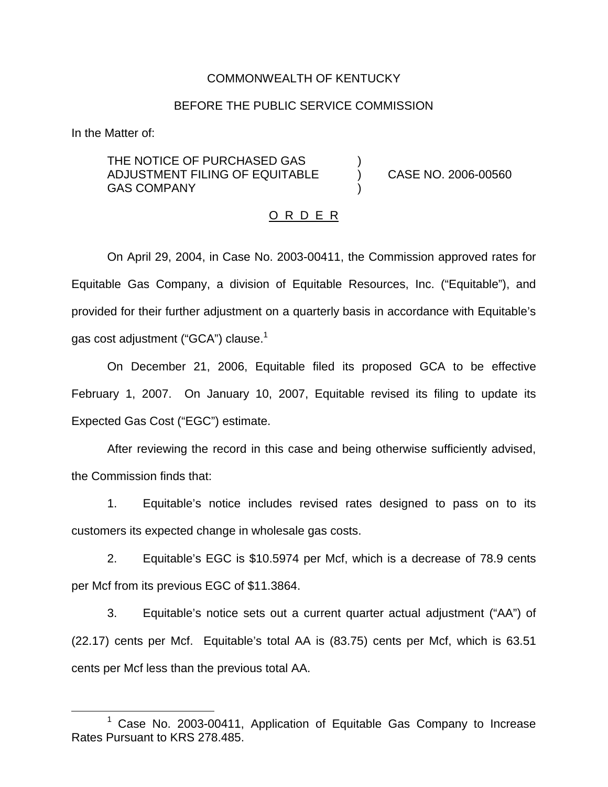## COMMONWEALTH OF KENTUCKY

## BEFORE THE PUBLIC SERVICE COMMISSION

In the Matter of:

THE NOTICE OF PURCHASED GAS ADJUSTMENT FILING OF EQUITABLE ) CASE NO. 2006-00560 **GAS COMPANY** 

#### O R D E R

On April 29, 2004, in Case No. 2003-00411, the Commission approved rates for Equitable Gas Company, a division of Equitable Resources, Inc. ("Equitable"), and provided for their further adjustment on a quarterly basis in accordance with Equitable's gas cost adjustment ("GCA") clause.<sup>1</sup>

On December 21, 2006, Equitable filed its proposed GCA to be effective February 1, 2007. On January 10, 2007, Equitable revised its filing to update its Expected Gas Cost ("EGC") estimate.

After reviewing the record in this case and being otherwise sufficiently advised, the Commission finds that:

1. Equitable's notice includes revised rates designed to pass on to its customers its expected change in wholesale gas costs.

2. Equitable's EGC is \$10.5974 per Mcf, which is a decrease of 78.9 cents per Mcf from its previous EGC of \$11.3864.

3. Equitable's notice sets out a current quarter actual adjustment ("AA") of (22.17) cents per Mcf. Equitable's total AA is (83.75) cents per Mcf, which is 63.51 cents per Mcf less than the previous total AA.

 $1$  Case No. 2003-00411, Application of Equitable Gas Company to Increase Rates Pursuant to KRS 278.485.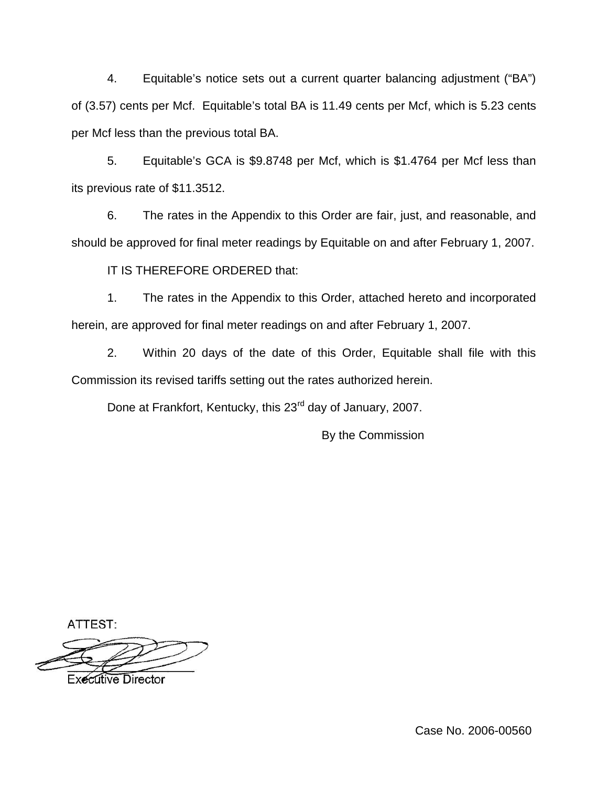4. Equitable's notice sets out a current quarter balancing adjustment ("BA") of (3.57) cents per Mcf. Equitable's total BA is 11.49 cents per Mcf, which is 5.23 cents per Mcf less than the previous total BA.

5. Equitable's GCA is \$9.8748 per Mcf, which is \$1.4764 per Mcf less than its previous rate of \$11.3512.

6. The rates in the Appendix to this Order are fair, just, and reasonable, and should be approved for final meter readings by Equitable on and after February 1, 2007.

IT IS THEREFORE ORDERED that:

1. The rates in the Appendix to this Order, attached hereto and incorporated herein, are approved for final meter readings on and after February 1, 2007.

2. Within 20 days of the date of this Order, Equitable shall file with this Commission its revised tariffs setting out the rates authorized herein.

Done at Frankfort, Kentucky, this 23<sup>rd</sup> day of January, 2007.

By the Commission

ATTEST:

**Executive Director** 

Case No. 2006-00560